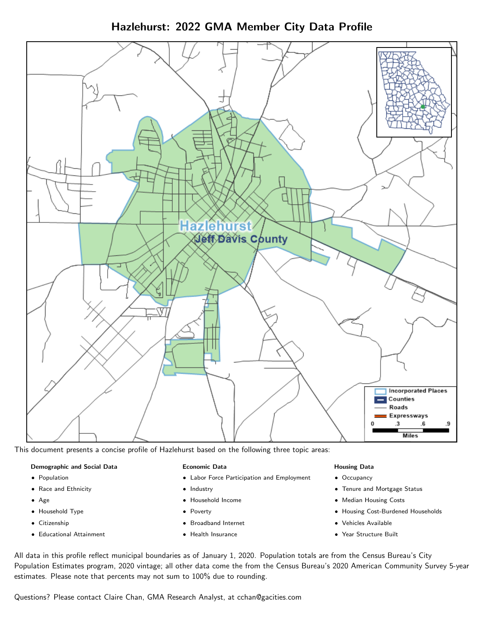Hazlehurst: 2022 GMA Member City Data Profile



This document presents a concise profile of Hazlehurst based on the following three topic areas:

#### Demographic and Social Data

- **•** Population
- Race and Ethnicity
- Age
- Household Type
- **Citizenship**
- Educational Attainment

#### Economic Data

- Labor Force Participation and Employment
- Industry
- Household Income
- Poverty
- Broadband Internet
- Health Insurance

#### Housing Data

- Occupancy
- Tenure and Mortgage Status
- Median Housing Costs
- Housing Cost-Burdened Households
- Vehicles Available
- Year Structure Built

All data in this profile reflect municipal boundaries as of January 1, 2020. Population totals are from the Census Bureau's City Population Estimates program, 2020 vintage; all other data come the from the Census Bureau's 2020 American Community Survey 5-year estimates. Please note that percents may not sum to 100% due to rounding.

Questions? Please contact Claire Chan, GMA Research Analyst, at [cchan@gacities.com.](mailto:cchan@gacities.com)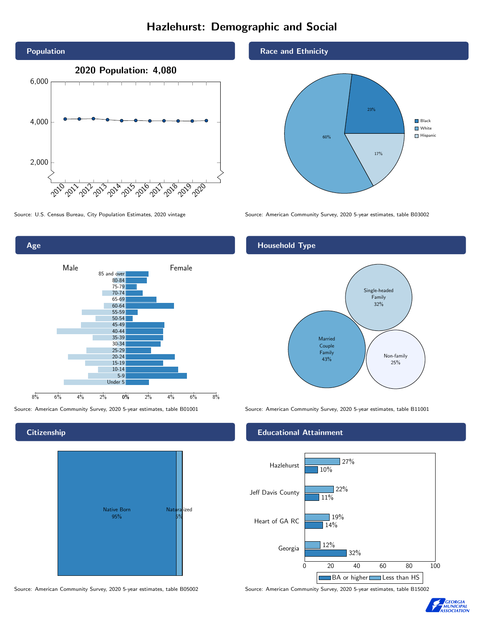## Hazlehurst: Demographic and Social



0% 2% 4% 6% 8% 8% 6% 4% 2% 75-79 70-74 65-69 60-64 55-59 50-54 45-49 40-44 35-39 30-34 25-29 20-24 15-19  $10-14$ 5-9 Under 5

Male **Female** 

85 and over 80-84

**Citizenship** 

Age



Source: American Community Survey, 2020 5-year estimates, table B05002 Source: American Community Survey, 2020 5-year estimates, table B15002

Race and Ethnicity



Source: U.S. Census Bureau, City Population Estimates, 2020 vintage Source: American Community Survey, 2020 5-year estimates, table B03002

#### Household Type



Source: American Community Survey, 2020 5-year estimates, table B01001 Source: American Community Survey, 2020 5-year estimates, table B11001

#### Educational Attainment



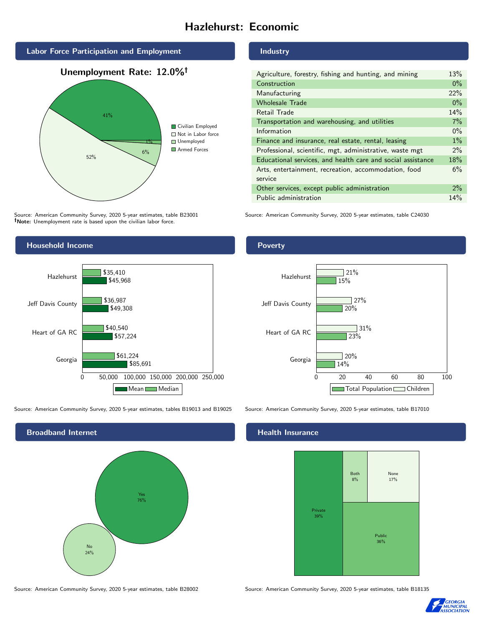## Hazlehurst: Economic



Source: American Community Survey, 2020 5-year estimates, table B23001 Note: Unemployment rate is based upon the civilian labor force.

#### Industry

| Agriculture, forestry, fishing and hunting, and mining      | 13%   |
|-------------------------------------------------------------|-------|
| Construction                                                | $0\%$ |
| Manufacturing                                               | 22%   |
| <b>Wholesale Trade</b>                                      | $0\%$ |
| Retail Trade                                                | 14%   |
| Transportation and warehousing, and utilities               | 7%    |
| Information                                                 | $0\%$ |
| Finance and insurance, real estate, rental, leasing         | $1\%$ |
| Professional, scientific, mgt, administrative, waste mgt    | $2\%$ |
| Educational services, and health care and social assistance | 18%   |
| Arts, entertainment, recreation, accommodation, food        | 6%    |
| service                                                     |       |
| Other services, except public administration                | $2\%$ |
| Public administration                                       | 14%   |

Source: American Community Survey, 2020 5-year estimates, table C24030



Source: American Community Survey, 2020 5-year estimates, tables B19013 and B19025 Source: American Community Survey, 2020 5-year estimates, table B17010



Source: American Community Survey, 2020 5-year estimates, table B28002 Source: American Community Survey, 2020 5-year estimates, table B18135

#### Poverty



#### Health Insurance